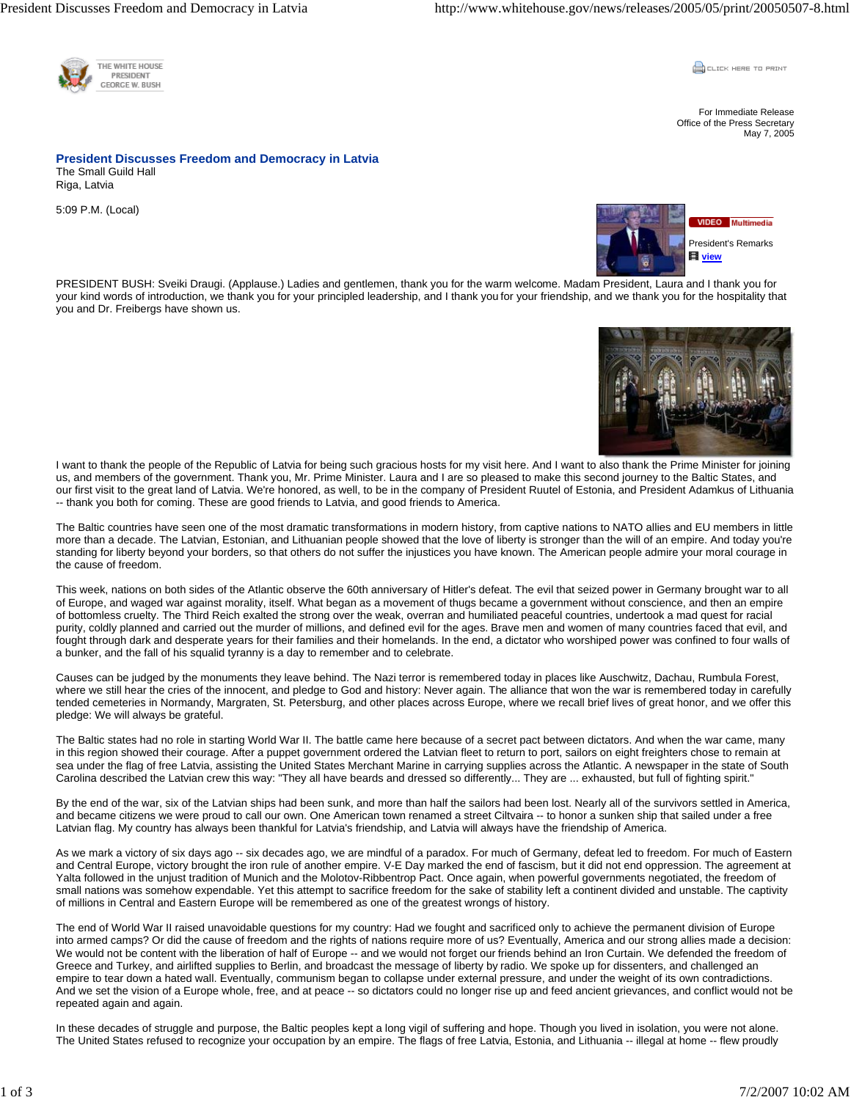

**CONCRETE PRINT** 

For Immediate Release Office of the Press Secretary May 7, 2005

**President Discusses Freedom and Democracy in Latvia**  The Small Guild Hall Riga, Latvia

5:09 P.M. (Local)



PRESIDENT BUSH: Sveiki Draugi. (Applause.) Ladies and gentlemen, thank you for the warm welcome. Madam President, Laura and I thank you for your kind words of introduction, we thank you for your principled leadership, and I thank you for your friendship, and we thank you for the hospitality that you and Dr. Freibergs have shown us.



I want to thank the people of the Republic of Latvia for being such gracious hosts for my visit here. And I want to also thank the Prime Minister for joining us, and members of the government. Thank you, Mr. Prime Minister. Laura and I are so pleased to make this second journey to the Baltic States, and our first visit to the great land of Latvia. We're honored, as well, to be in the company of President Ruutel of Estonia, and President Adamkus of Lithuania -- thank you both for coming. These are good friends to Latvia, and good friends to America.

The Baltic countries have seen one of the most dramatic transformations in modern history, from captive nations to NATO allies and EU members in little more than a decade. The Latvian, Estonian, and Lithuanian people showed that the love of liberty is stronger than the will of an empire. And today you're standing for liberty beyond your borders, so that others do not suffer the injustices you have known. The American people admire your moral courage in the cause of freedom.

This week, nations on both sides of the Atlantic observe the 60th anniversary of Hitler's defeat. The evil that seized power in Germany brought war to all of Europe, and waged war against morality, itself. What began as a movement of thugs became a government without conscience, and then an empire of bottomless cruelty. The Third Reich exalted the strong over the weak, overran and humiliated peaceful countries, undertook a mad quest for racial purity, coldly planned and carried out the murder of millions, and defined evil for the ages. Brave men and women of many countries faced that evil, and fought through dark and desperate years for their families and their homelands. In the end, a dictator who worshiped power was confined to four walls of a bunker, and the fall of his squalid tyranny is a day to remember and to celebrate.

Causes can be judged by the monuments they leave behind. The Nazi terror is remembered today in places like Auschwitz, Dachau, Rumbula Forest, where we still hear the cries of the innocent, and pledge to God and history: Never again. The alliance that won the war is remembered today in carefully tended cemeteries in Normandy, Margraten, St. Petersburg, and other places across Europe, where we recall brief lives of great honor, and we offer this pledge: We will always be grateful.

The Baltic states had no role in starting World War II. The battle came here because of a secret pact between dictators. And when the war came, many in this region showed their courage. After a puppet government ordered the Latvian fleet to return to port, sailors on eight freighters chose to remain at sea under the flag of free Latvia, assisting the United States Merchant Marine in carrying supplies across the Atlantic. A newspaper in the state of South Carolina described the Latvian crew this way: "They all have beards and dressed so differently... They are ... exhausted, but full of fighting spirit."

By the end of the war, six of the Latvian ships had been sunk, and more than half the sailors had been lost. Nearly all of the survivors settled in America, and became citizens we were proud to call our own. One American town renamed a street Ciltvaira -- to honor a sunken ship that sailed under a free Latvian flag. My country has always been thankful for Latvia's friendship, and Latvia will always have the friendship of America.

As we mark a victory of six days ago -- six decades ago, we are mindful of a paradox. For much of Germany, defeat led to freedom. For much of Eastern and Central Europe, victory brought the iron rule of another empire. V-E Day marked the end of fascism, but it did not end oppression. The agreement at Yalta followed in the unjust tradition of Munich and the Molotov-Ribbentrop Pact. Once again, when powerful governments negotiated, the freedom of small nations was somehow expendable. Yet this attempt to sacrifice freedom for the sake of stability left a continent divided and unstable. The captivity of millions in Central and Eastern Europe will be remembered as one of the greatest wrongs of history.

The end of World War II raised unavoidable questions for my country: Had we fought and sacrificed only to achieve the permanent division of Europe into armed camps? Or did the cause of freedom and the rights of nations require more of us? Eventually, America and our strong allies made a decision: We would not be content with the liberation of half of Europe -- and we would not forget our friends behind an Iron Curtain. We defended the freedom of Greece and Turkey, and airlifted supplies to Berlin, and broadcast the message of liberty by radio. We spoke up for dissenters, and challenged an empire to tear down a hated wall. Eventually, communism began to collapse under external pressure, and under the weight of its own contradictions. And we set the vision of a Europe whole, free, and at peace -- so dictators could no longer rise up and feed ancient grievances, and conflict would not be repeated again and again.

In these decades of struggle and purpose, the Baltic peoples kept a long vigil of suffering and hope. Though you lived in isolation, you were not alone. The United States refused to recognize your occupation by an empire. The flags of free Latvia, Estonia, and Lithuania -- illegal at home -- flew proudly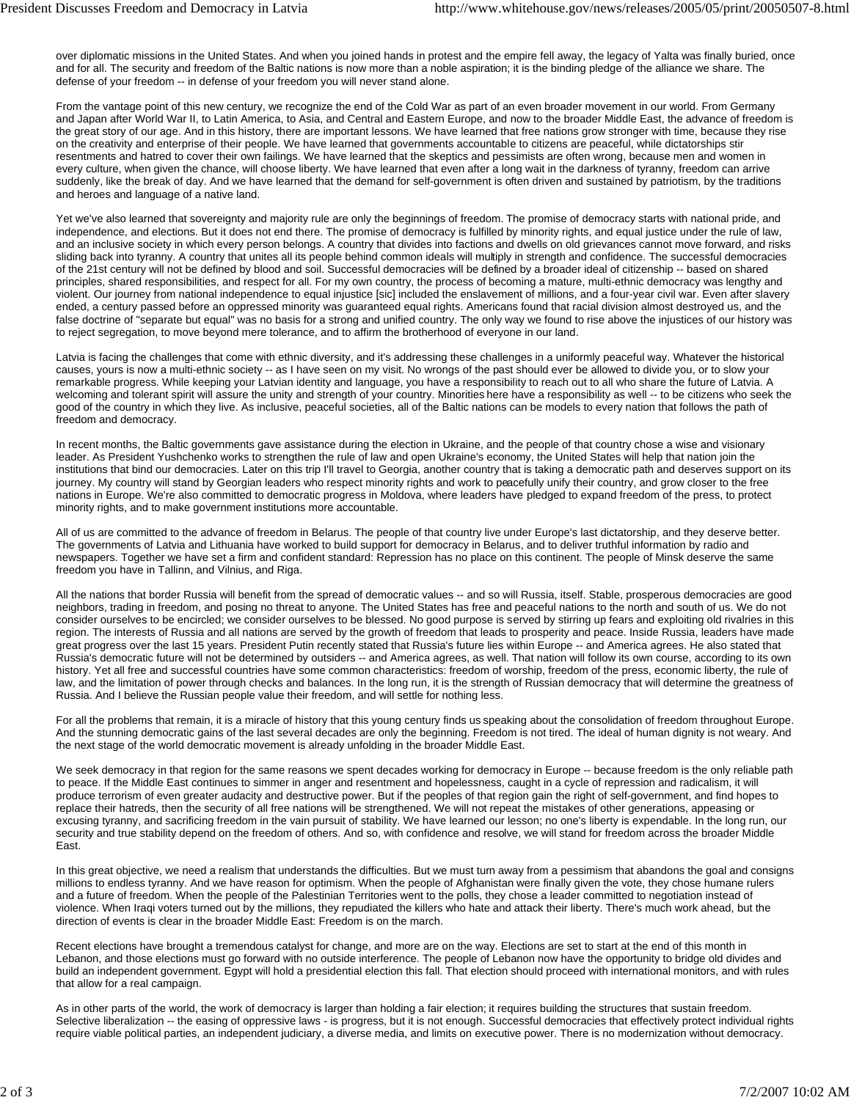over diplomatic missions in the United States. And when you joined hands in protest and the empire fell away, the legacy of Yalta was finally buried, once and for all. The security and freedom of the Baltic nations is now more than a noble aspiration; it is the binding pledge of the alliance we share. The defense of your freedom -- in defense of your freedom you will never stand alone.

From the vantage point of this new century, we recognize the end of the Cold War as part of an even broader movement in our world. From Germany and Japan after World War II, to Latin America, to Asia, and Central and Eastern Europe, and now to the broader Middle East, the advance of freedom is the great story of our age. And in this history, there are important lessons. We have learned that free nations grow stronger with time, because they rise on the creativity and enterprise of their people. We have learned that governments accountable to citizens are peaceful, while dictatorships stir resentments and hatred to cover their own failings. We have learned that the skeptics and pessimists are often wrong, because men and women in every culture, when given the chance, will choose liberty. We have learned that even after a long wait in the darkness of tyranny, freedom can arrive suddenly, like the break of day. And we have learned that the demand for self-government is often driven and sustained by patriotism, by the traditions and heroes and language of a native land.

Yet we've also learned that sovereignty and majority rule are only the beginnings of freedom. The promise of democracy starts with national pride, and independence, and elections. But it does not end there. The promise of democracy is fulfilled by minority rights, and equal justice under the rule of law, and an inclusive society in which every person belongs. A country that divides into factions and dwells on old grievances cannot move forward, and risks sliding back into tyranny. A country that unites all its people behind common ideals will multiply in strength and confidence. The successful democracies of the 21st century will not be defined by blood and soil. Successful democracies will be defined by a broader ideal of citizenship -- based on shared principles, shared responsibilities, and respect for all. For my own country, the process of becoming a mature, multi-ethnic democracy was lengthy and violent. Our journey from national independence to equal injustice [sic] included the enslavement of millions, and a four-year civil war. Even after slavery ended, a century passed before an oppressed minority was guaranteed equal rights. Americans found that racial division almost destroyed us, and the false doctrine of "separate but equal" was no basis for a strong and unified country. The only way we found to rise above the injustices of our history was to reject segregation, to move beyond mere tolerance, and to affirm the brotherhood of everyone in our land.

Latvia is facing the challenges that come with ethnic diversity, and it's addressing these challenges in a uniformly peaceful way. Whatever the historical causes, yours is now a multi-ethnic society -- as I have seen on my visit. No wrongs of the past should ever be allowed to divide you, or to slow your remarkable progress. While keeping your Latvian identity and language, you have a responsibility to reach out to all who share the future of Latvia. A welcoming and tolerant spirit will assure the unity and strength of your country. Minorities here have a responsibility as well -- to be citizens who seek the good of the country in which they live. As inclusive, peaceful societies, all of the Baltic nations can be models to every nation that follows the path of freedom and democracy.

In recent months, the Baltic governments gave assistance during the election in Ukraine, and the people of that country chose a wise and visionary leader. As President Yushchenko works to strengthen the rule of law and open Ukraine's economy, the United States will help that nation join the institutions that bind our democracies. Later on this trip I'll travel to Georgia, another country that is taking a democratic path and deserves support on its journey. My country will stand by Georgian leaders who respect minority rights and work to peacefully unify their country, and grow closer to the free nations in Europe. We're also committed to democratic progress in Moldova, where leaders have pledged to expand freedom of the press, to protect minority rights, and to make government institutions more accountable.

All of us are committed to the advance of freedom in Belarus. The people of that country live under Europe's last dictatorship, and they deserve better. The governments of Latvia and Lithuania have worked to build support for democracy in Belarus, and to deliver truthful information by radio and newspapers. Together we have set a firm and confident standard: Repression has no place on this continent. The people of Minsk deserve the same freedom you have in Tallinn, and Vilnius, and Riga.

All the nations that border Russia will benefit from the spread of democratic values -- and so will Russia, itself. Stable, prosperous democracies are good neighbors, trading in freedom, and posing no threat to anyone. The United States has free and peaceful nations to the north and south of us. We do not consider ourselves to be encircled; we consider ourselves to be blessed. No good purpose is served by stirring up fears and exploiting old rivalries in this region. The interests of Russia and all nations are served by the growth of freedom that leads to prosperity and peace. Inside Russia, leaders have made great progress over the last 15 years. President Putin recently stated that Russia's future lies within Europe -- and America agrees. He also stated that Russia's democratic future will not be determined by outsiders -- and America agrees, as well. That nation will follow its own course, according to its own history. Yet all free and successful countries have some common characteristics: freedom of worship, freedom of the press, economic liberty, the rule of law, and the limitation of power through checks and balances. In the long run, it is the strength of Russian democracy that will determine the greatness of Russia. And I believe the Russian people value their freedom, and will settle for nothing less.

For all the problems that remain, it is a miracle of history that this young century finds us speaking about the consolidation of freedom throughout Europe. And the stunning democratic gains of the last several decades are only the beginning. Freedom is not tired. The ideal of human dignity is not weary. And the next stage of the world democratic movement is already unfolding in the broader Middle East.

We seek democracy in that region for the same reasons we spent decades working for democracy in Europe -- because freedom is the only reliable path to peace. If the Middle East continues to simmer in anger and resentment and hopelessness, caught in a cycle of repression and radicalism, it will produce terrorism of even greater audacity and destructive power. But if the peoples of that region gain the right of self-government, and find hopes to replace their hatreds, then the security of all free nations will be strengthened. We will not repeat the mistakes of other generations, appeasing or excusing tyranny, and sacrificing freedom in the vain pursuit of stability. We have learned our lesson; no one's liberty is expendable. In the long run, our security and true stability depend on the freedom of others. And so, with confidence and resolve, we will stand for freedom across the broader Middle East.

In this great objective, we need a realism that understands the difficulties. But we must turn away from a pessimism that abandons the goal and consigns millions to endless tyranny. And we have reason for optimism. When the people of Afghanistan were finally given the vote, they chose humane rulers and a future of freedom. When the people of the Palestinian Territories went to the polls, they chose a leader committed to negotiation instead of violence. When Iraqi voters turned out by the millions, they repudiated the killers who hate and attack their liberty. There's much work ahead, but the direction of events is clear in the broader Middle East: Freedom is on the march.

Recent elections have brought a tremendous catalyst for change, and more are on the way. Elections are set to start at the end of this month in Lebanon, and those elections must go forward with no outside interference. The people of Lebanon now have the opportunity to bridge old divides and build an independent government. Egypt will hold a presidential election this fall. That election should proceed with international monitors, and with rules that allow for a real campaign.

As in other parts of the world, the work of democracy is larger than holding a fair election; it requires building the structures that sustain freedom. Selective liberalization -- the easing of oppressive laws - is progress, but it is not enough. Successful democracies that effectively protect individual rights require viable political parties, an independent judiciary, a diverse media, and limits on executive power. There is no modernization without democracy.